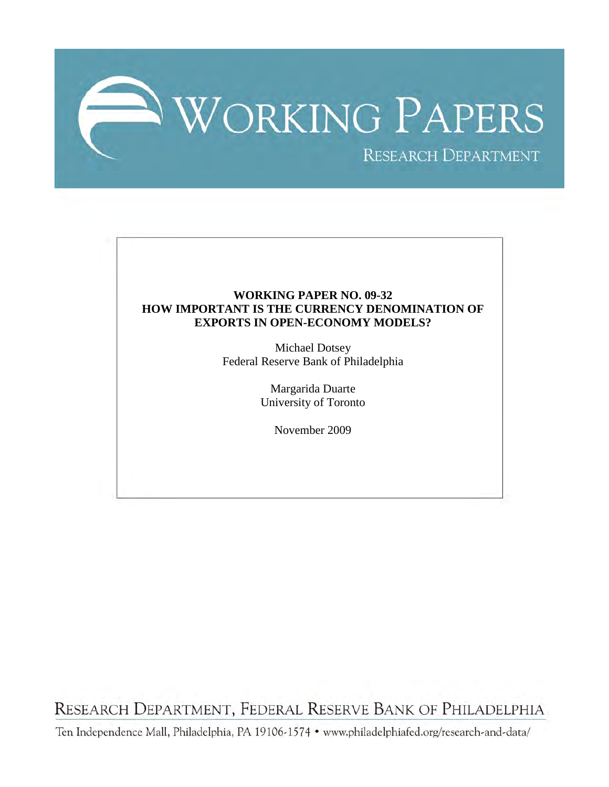

### **WORKING PAPER NO. 09-32 HOW IMPORTANT IS THE CURRENCY DENOMINATION OF EXPORTS IN OPEN-ECONOMY MODELS?**

Michael Dotsey Federal Reserve Bank of Philadelphia

> Margarida Duarte University of Toronto

> > November 2009

RESEARCH DEPARTMENT, FEDERAL RESERVE BANK OF PHILADELPHIA

Ten Independence Mall, Philadelphia, PA 19106-1574 · www.philadelphiafed.org/research-and-data/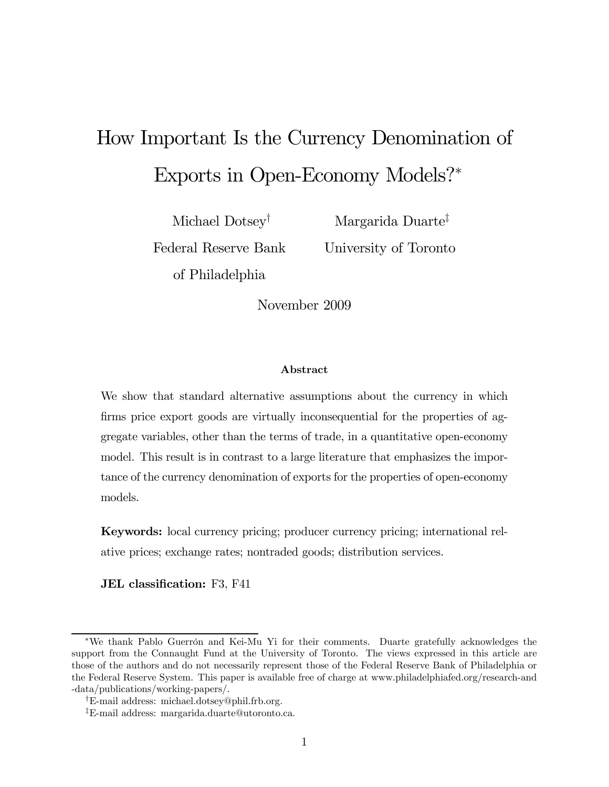# How Important Is the Currency Denomination of Exports in Open-Economy Models?<sup>∗</sup>

Michael Dotsey†

Margarida Duarte‡

Federal Reserve Bank of Philadelphia

University of Toronto

November 2009

#### Abstract

We show that standard alternative assumptions about the currency in which firms price export goods are virtually inconsequential for the properties of aggregate variables, other than the terms of trade, in a quantitative open-economy model. This result is in contrast to a large literature that emphasizes the importance of the currency denomination of exports for the properties of open-economy models.

Keywords: local currency pricing; producer currency pricing; international relative prices; exchange rates; nontraded goods; distribution services.

JEL classification: F3, F41

<sup>∗</sup>We thank Pablo Guerrón and Kei-Mu Yi for their comments. Duarte gratefully acknowledges the support from the Connaught Fund at the University of Toronto. The views expressed in this article are those of the authors and do not necessarily represent those of the Federal Reserve Bank of Philadelphia or the Federal Reserve System. This paper is available free of charge at www.philadelphiafed.org/research-and -data/publications/working-papers/.

<sup>†</sup>E-mail address: michael.dotsey@phil.frb.org.

<sup>‡</sup>E-mail address: margarida.duarte@utoronto.ca.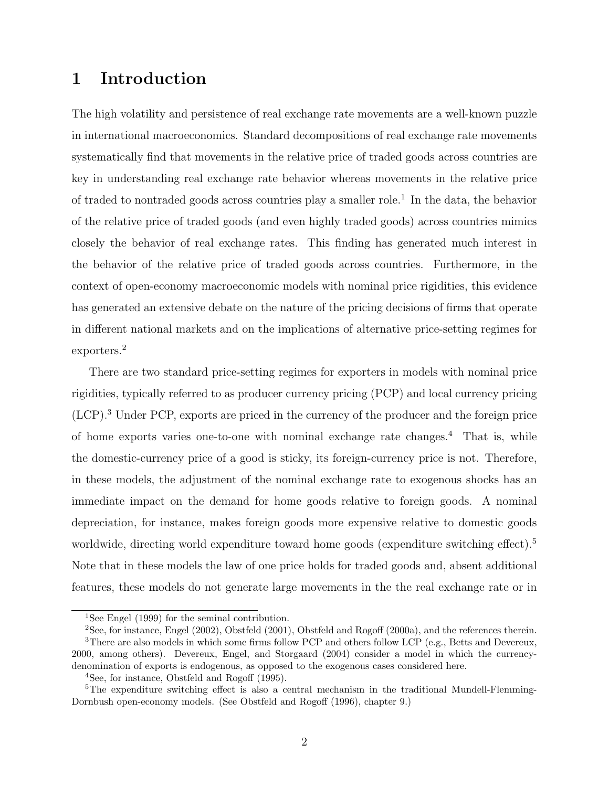# 1 Introduction

The high volatility and persistence of real exchange rate movements are a well-known puzzle in international macroeconomics. Standard decompositions of real exchange rate movements systematically find that movements in the relative price of traded goods across countries are key in understanding real exchange rate behavior whereas movements in the relative price of traded to nontraded goods across countries play a smaller role.<sup>1</sup> In the data, the behavior of the relative price of traded goods (and even highly traded goods) across countries mimics closely the behavior of real exchange rates. This finding has generated much interest in the behavior of the relative price of traded goods across countries. Furthermore, in the context of open-economy macroeconomic models with nominal price rigidities, this evidence has generated an extensive debate on the nature of the pricing decisions of firms that operate in different national markets and on the implications of alternative price-setting regimes for exporters.<sup>2</sup>

There are two standard price-setting regimes for exporters in models with nominal price rigidities, typically referred to as producer currency pricing (PCP) and local currency pricing (LCP).<sup>3</sup> Under PCP, exports are priced in the currency of the producer and the foreign price of home exports varies one-to-one with nominal exchange rate changes.<sup>4</sup> That is, while the domestic-currency price of a good is sticky, its foreign-currency price is not. Therefore, in these models, the adjustment of the nominal exchange rate to exogenous shocks has an immediate impact on the demand for home goods relative to foreign goods. A nominal depreciation, for instance, makes foreign goods more expensive relative to domestic goods worldwide, directing world expenditure toward home goods (expenditure switching effect).<sup>5</sup> Note that in these models the law of one price holds for traded goods and, absent additional features, these models do not generate large movements in the the real exchange rate or in

<sup>4</sup>See, for instance, Obstfeld and Rogoff (1995).

<sup>1</sup>See Engel (1999) for the seminal contribution.

<sup>2</sup>See, for instance, Engel (2002), Obstfeld (2001), Obstfeld and Rogoff (2000a), and the references therein.

<sup>&</sup>lt;sup>3</sup>There are also models in which some firms follow PCP and others follow LCP (e.g., Betts and Devereux, 2000, among others). Devereux, Engel, and Storgaard (2004) consider a model in which the currencydenomination of exports is endogenous, as opposed to the exogenous cases considered here.

<sup>&</sup>lt;sup>5</sup>The expenditure switching effect is also a central mechanism in the traditional Mundell-Flemming-Dornbush open-economy models. (See Obstfeld and Rogoff (1996), chapter 9.)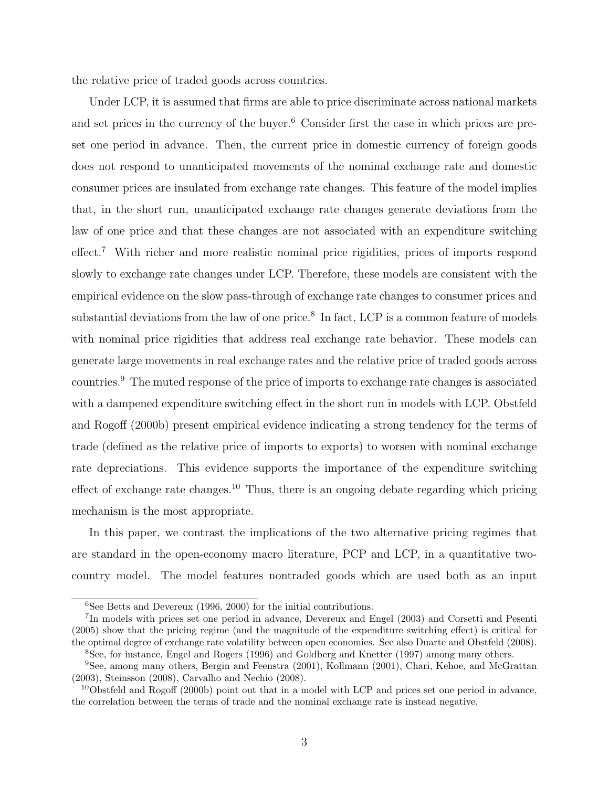the relative price of traded goods across countries.

Under LCP, it is assumed that firms are able to price discriminate across national markets and set prices in the currency of the buyer.<sup>6</sup> Consider first the case in which prices are preset one period in advance. Then, the current price in domestic currency of foreign goods does not respond to unanticipated movements of the nominal exchange rate and domestic consumer prices are insulated from exchange rate changes. This feature of the model implies that, in the short run, unanticipated exchange rate changes generate deviations from the law of one price and that these changes are not associated with an expenditure switching effect.<sup>7</sup> With richer and more realistic nominal price rigidities, prices of imports respond slowly to exchange rate changes under LCP. Therefore, these models are consistent with the empirical evidence on the slow pass-through of exchange rate changes to consumer prices and substantial deviations from the law of one price.<sup>8</sup> In fact, LCP is a common feature of models with nominal price rigidities that address real exchange rate behavior. These models can generate large movements in real exchange rates and the relative price of traded goods across countries.<sup>9</sup> The muted response of the price of imports to exchange rate changes is associated with a dampened expenditure switching effect in the short run in models with LCP. Obstfeld and Rogoff (2000b) present empirical evidence indicating a strong tendency for the terms of trade (defined as the relative price of imports to exports) to worsen with nominal exchange rate depreciations. This evidence supports the importance of the expenditure switching effect of exchange rate changes.<sup>10</sup> Thus, there is an ongoing debate regarding which pricing mechanism is the most appropriate.

In this paper, we contrast the implications of the two alternative pricing regimes that are standard in the open-economy macro literature, PCP and LCP, in a quantitative twocountry model. The model features nontraded goods which are used both as an input

 ${}^{6}$ See Betts and Devereux (1996, 2000) for the initial contributions.

<sup>7</sup> In models with prices set one period in advance, Devereux and Engel (2003) and Corsetti and Pesenti (2005) show that the pricing regime (and the magnitude of the expenditure switching effect) is critical for the optimal degree of exchange rate volatility between open economies. See also Duarte and Obstfeld (2008). <sup>8</sup>See, for instance, Engel and Rogers (1996) and Goldberg and Knetter (1997) among many others.

<sup>9</sup>See, among many others, Bergin and Feenstra (2001), Kollmann (2001), Chari, Kehoe, and McGrattan (2003), Steinsson (2008), Carvalho and Nechio (2008).

<sup>&</sup>lt;sup>10</sup>Obstfeld and Rogoff (2000b) point out that in a model with LCP and prices set one period in advance, the correlation between the terms of trade and the nominal exchange rate is instead negative.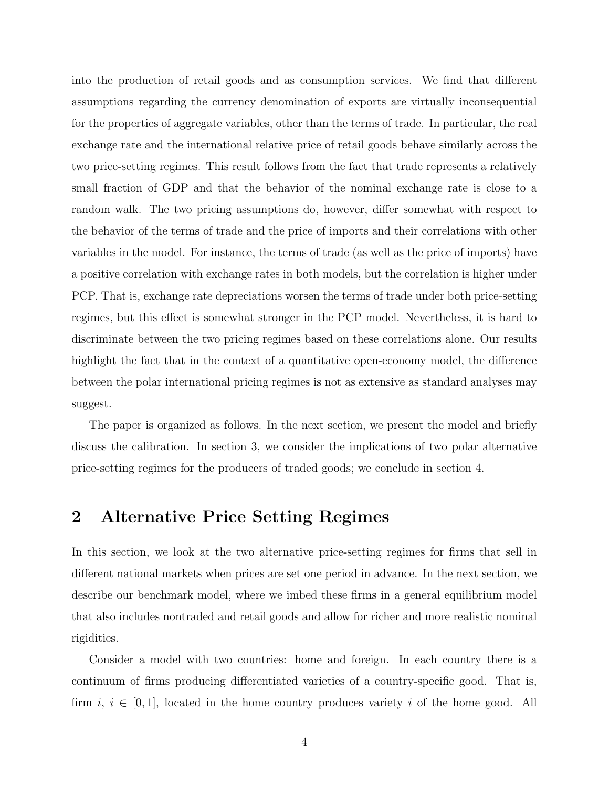into the production of retail goods and as consumption services. We find that different assumptions regarding the currency denomination of exports are virtually inconsequential for the properties of aggregate variables, other than the terms of trade. In particular, the real exchange rate and the international relative price of retail goods behave similarly across the two price-setting regimes. This result follows from the fact that trade represents a relatively small fraction of GDP and that the behavior of the nominal exchange rate is close to a random walk. The two pricing assumptions do, however, differ somewhat with respect to the behavior of the terms of trade and the price of imports and their correlations with other variables in the model. For instance, the terms of trade (as well as the price of imports) have a positive correlation with exchange rates in both models, but the correlation is higher under PCP. That is, exchange rate depreciations worsen the terms of trade under both price-setting regimes, but this effect is somewhat stronger in the PCP model. Nevertheless, it is hard to discriminate between the two pricing regimes based on these correlations alone. Our results highlight the fact that in the context of a quantitative open-economy model, the difference between the polar international pricing regimes is not as extensive as standard analyses may suggest.

The paper is organized as follows. In the next section, we present the model and briefly discuss the calibration. In section 3, we consider the implications of two polar alternative price-setting regimes for the producers of traded goods; we conclude in section 4.

# 2 Alternative Price Setting Regimes

In this section, we look at the two alternative price-setting regimes for firms that sell in different national markets when prices are set one period in advance. In the next section, we describe our benchmark model, where we imbed these firms in a general equilibrium model that also includes nontraded and retail goods and allow for richer and more realistic nominal rigidities.

Consider a model with two countries: home and foreign. In each country there is a continuum of firms producing differentiated varieties of a country-specific good. That is, firm  $i, i \in [0,1]$ , located in the home country produces variety i of the home good. All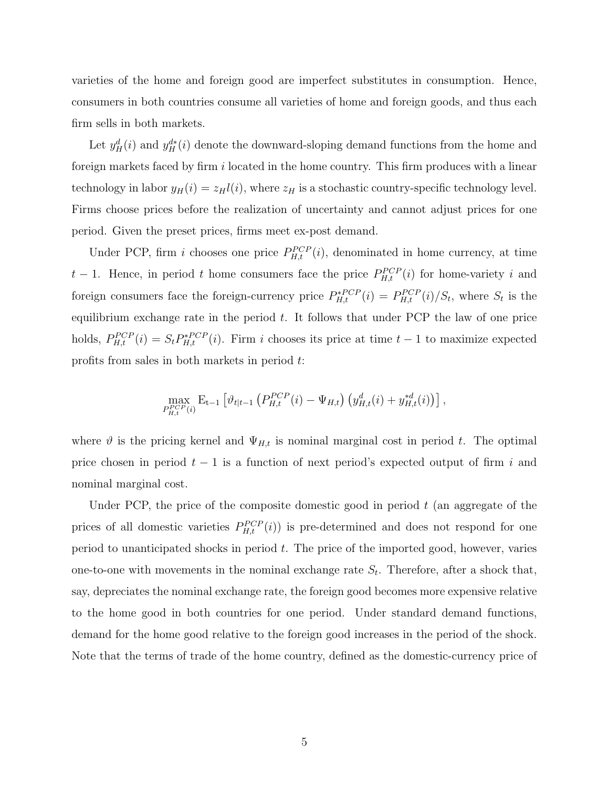varieties of the home and foreign good are imperfect substitutes in consumption. Hence, consumers in both countries consume all varieties of home and foreign goods, and thus each firm sells in both markets.

Let  $y_H^d(i)$  and  $y_H^{d*}(i)$  denote the downward-sloping demand functions from the home and foreign markets faced by firm  $i$  located in the home country. This firm produces with a linear technology in labor  $y_H(i) = z_H l(i)$ , where  $z_H$  is a stochastic country-specific technology level. Firms choose prices before the realization of uncertainty and cannot adjust prices for one period. Given the preset prices, firms meet ex-post demand.

Under PCP, firm *i* chooses one price  $P_{H,t}^{PCP}(i)$ , denominated in home currency, at time t − 1. Hence, in period t home consumers face the price  $P_{H,t}^{PCP}(i)$  for home-variety i and foreign consumers face the foreign-currency price  $P_{H,t}^{*PCP}(i) = P_{H,t}^{PCP}(i)/S_t$ , where  $S_t$  is the equilibrium exchange rate in the period  $t$ . It follows that under PCP the law of one price holds,  $P_{H,t}^{PCP}(i) = S_t P_{H,t}^{*PCP}(i)$ . Firm i chooses its price at time  $t-1$  to maximize expected profits from sales in both markets in period t:

$$
\max_{P_{H,t}^{PCP}(i)} \mathbf{E}_{t-1} \left[ \vartheta_{t|t-1} \left( P_{H,t}^{PCP}(i) - \Psi_{H,t} \right) \left( y_{H,t}^d(i) + y_{H,t}^{*d}(i) \right) \right],
$$

where  $\vartheta$  is the pricing kernel and  $\Psi_{H,t}$  is nominal marginal cost in period t. The optimal price chosen in period  $t - 1$  is a function of next period's expected output of firm i and nominal marginal cost.

Under PCP, the price of the composite domestic good in period  $t$  (an aggregate of the prices of all domestic varieties  $P_{H,t}^{PCP}(i)$  is pre-determined and does not respond for one period to unanticipated shocks in period  $t$ . The price of the imported good, however, varies one-to-one with movements in the nominal exchange rate  $S_t$ . Therefore, after a shock that, say, depreciates the nominal exchange rate, the foreign good becomes more expensive relative to the home good in both countries for one period. Under standard demand functions, demand for the home good relative to the foreign good increases in the period of the shock. Note that the terms of trade of the home country, defined as the domestic-currency price of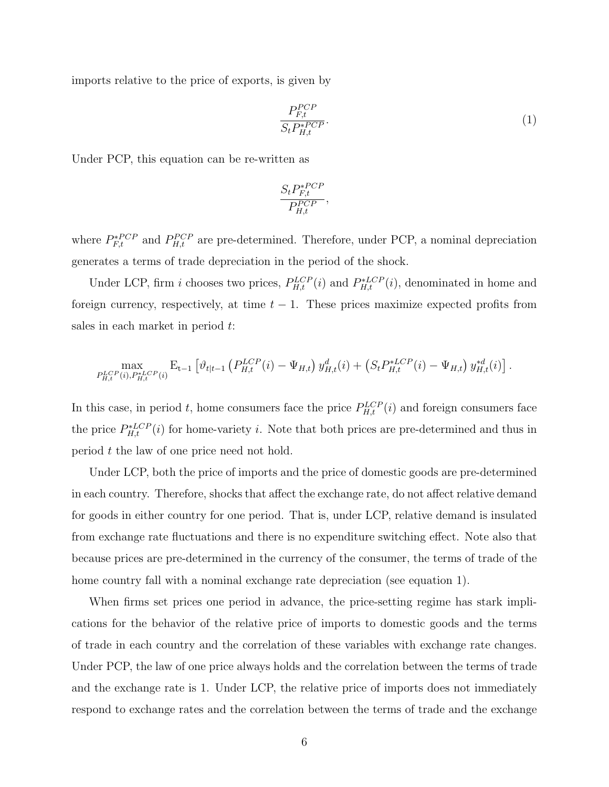imports relative to the price of exports, is given by

$$
\frac{P_{F,t}^{PCP}}{S_t P_{H,t}^{*PCP}}.\tag{1}
$$

Under PCP, this equation can be re-written as

$$
\frac{S_t P_{F,t}^{*PCP}}{P_{H,t}^{PCP}},
$$

where  $P_{F,t}^{*PCP}$  and  $P_{H,t}^{PCP}$  are pre-determined. Therefore, under PCP, a nominal depreciation generates a terms of trade depreciation in the period of the shock.

Under LCP, firm *i* chooses two prices,  $P_{H,t}^{LCP}(i)$  and  $P_{H,t}^{*LCP}(i)$ , denominated in home and foreign currency, respectively, at time  $t - 1$ . These prices maximize expected profits from sales in each market in period t:

$$
\max_{P_{H,t}^{LCP}(i), P_{H,t}^{*LCP}(i)} \mathbf{E}_{t-1} \left[ \vartheta_{t|t-1} \left( P_{H,t}^{LCP}(i) - \Psi_{H,t} \right) y_{H,t}^d(i) + \left( S_t P_{H,t}^{*LCP}(i) - \Psi_{H,t} \right) y_{H,t}^{*d}(i) \right].
$$

In this case, in period t, home consumers face the price  $P_{H,t}^{LCP}(i)$  and foreign consumers face the price  $P_{H,t}^{*LCP}(i)$  for home-variety i. Note that both prices are pre-determined and thus in period t the law of one price need not hold.

Under LCP, both the price of imports and the price of domestic goods are pre-determined in each country. Therefore, shocks that affect the exchange rate, do not affect relative demand for goods in either country for one period. That is, under LCP, relative demand is insulated from exchange rate fluctuations and there is no expenditure switching effect. Note also that because prices are pre-determined in the currency of the consumer, the terms of trade of the home country fall with a nominal exchange rate depreciation (see equation 1).

When firms set prices one period in advance, the price-setting regime has stark implications for the behavior of the relative price of imports to domestic goods and the terms of trade in each country and the correlation of these variables with exchange rate changes. Under PCP, the law of one price always holds and the correlation between the terms of trade and the exchange rate is 1. Under LCP, the relative price of imports does not immediately respond to exchange rates and the correlation between the terms of trade and the exchange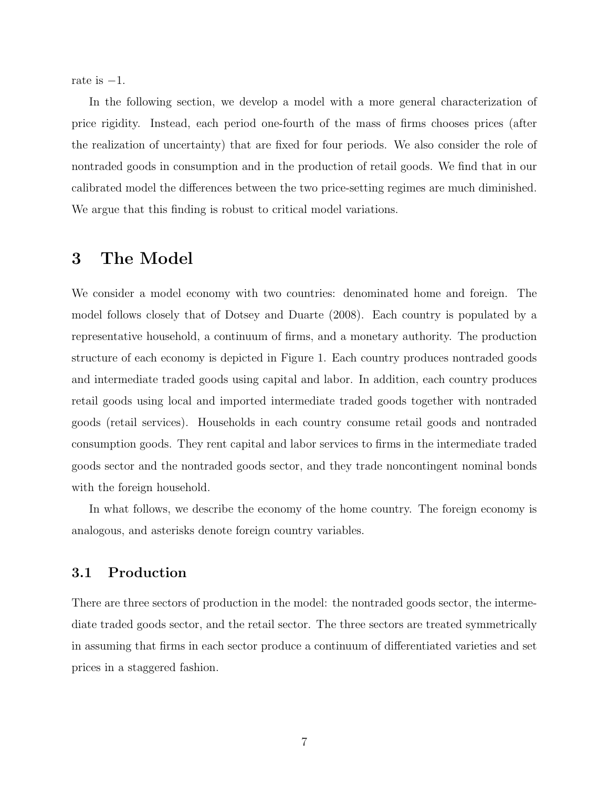rate is  $-1$ .

In the following section, we develop a model with a more general characterization of price rigidity. Instead, each period one-fourth of the mass of firms chooses prices (after the realization of uncertainty) that are fixed for four periods. We also consider the role of nontraded goods in consumption and in the production of retail goods. We find that in our calibrated model the differences between the two price-setting regimes are much diminished. We argue that this finding is robust to critical model variations.

# 3 The Model

We consider a model economy with two countries: denominated home and foreign. The model follows closely that of Dotsey and Duarte (2008). Each country is populated by a representative household, a continuum of firms, and a monetary authority. The production structure of each economy is depicted in Figure 1. Each country produces nontraded goods and intermediate traded goods using capital and labor. In addition, each country produces retail goods using local and imported intermediate traded goods together with nontraded goods (retail services). Households in each country consume retail goods and nontraded consumption goods. They rent capital and labor services to firms in the intermediate traded goods sector and the nontraded goods sector, and they trade noncontingent nominal bonds with the foreign household.

In what follows, we describe the economy of the home country. The foreign economy is analogous, and asterisks denote foreign country variables.

### 3.1 Production

There are three sectors of production in the model: the nontraded goods sector, the intermediate traded goods sector, and the retail sector. The three sectors are treated symmetrically in assuming that firms in each sector produce a continuum of differentiated varieties and set prices in a staggered fashion.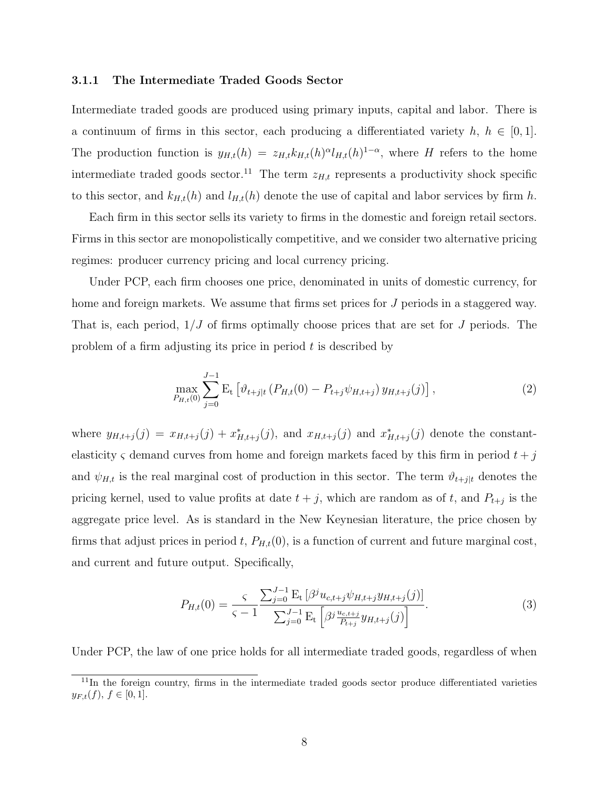#### 3.1.1 The Intermediate Traded Goods Sector

Intermediate traded goods are produced using primary inputs, capital and labor. There is a continuum of firms in this sector, each producing a differentiated variety  $h, h \in [0,1]$ . The production function is  $y_{H,t}(h) = z_{H,t} k_{H,t}(h)^{\alpha} l_{H,t}(h)^{1-\alpha}$ , where H refers to the home intermediate traded goods sector.<sup>11</sup> The term  $z_{H,t}$  represents a productivity shock specific to this sector, and  $k_{H,t}(h)$  and  $l_{H,t}(h)$  denote the use of capital and labor services by firm h.

Each firm in this sector sells its variety to firms in the domestic and foreign retail sectors. Firms in this sector are monopolistically competitive, and we consider two alternative pricing regimes: producer currency pricing and local currency pricing.

Under PCP, each firm chooses one price, denominated in units of domestic currency, for home and foreign markets. We assume that firms set prices for J periods in a staggered way. That is, each period, 1/J of firms optimally choose prices that are set for J periods. The problem of a firm adjusting its price in period  $t$  is described by

$$
\max_{P_{H,t}(0)} \sum_{j=0}^{J-1} \mathcal{E}_t \left[ \vartheta_{t+j|t} \left( P_{H,t}(0) - P_{t+j} \psi_{H,t+j} \right) y_{H,t+j}(j) \right], \tag{2}
$$

where  $y_{H,t+j}(j) = x_{H,t+j}(j) + x_{H,t+j}^*(j)$ , and  $x_{H,t+j}(j)$  and  $x_{H,t+j}^*(j)$  denote the constantelasticity  $\varsigma$  demand curves from home and foreign markets faced by this firm in period  $t + j$ and  $\psi_{H,t}$  is the real marginal cost of production in this sector. The term  $\vartheta_{t+j|t}$  denotes the pricing kernel, used to value profits at date  $t + j$ , which are random as of t, and  $P_{t+j}$  is the aggregate price level. As is standard in the New Keynesian literature, the price chosen by firms that adjust prices in period t,  $P_{H,t}(0)$ , is a function of current and future marginal cost, and current and future output. Specifically,

$$
P_{H,t}(0) = \frac{\varsigma}{\varsigma - 1} \frac{\sum_{j=0}^{J-1} \mathrm{E}_{\mathrm{t}} \left[ \beta^{j} u_{c,t+j} \psi_{H,t+j} y_{H,t+j}(j) \right]}{\sum_{j=0}^{J-1} \mathrm{E}_{\mathrm{t}} \left[ \beta^{j} \frac{u_{c,t+j}}{P_{t+j}} y_{H,t+j}(j) \right]}.
$$
(3)

Under PCP, the law of one price holds for all intermediate traded goods, regardless of when

<sup>&</sup>lt;sup>11</sup>In the foreign country, firms in the intermediate traded goods sector produce differentiated varieties  $y_{F,t}(f), f \in [0,1].$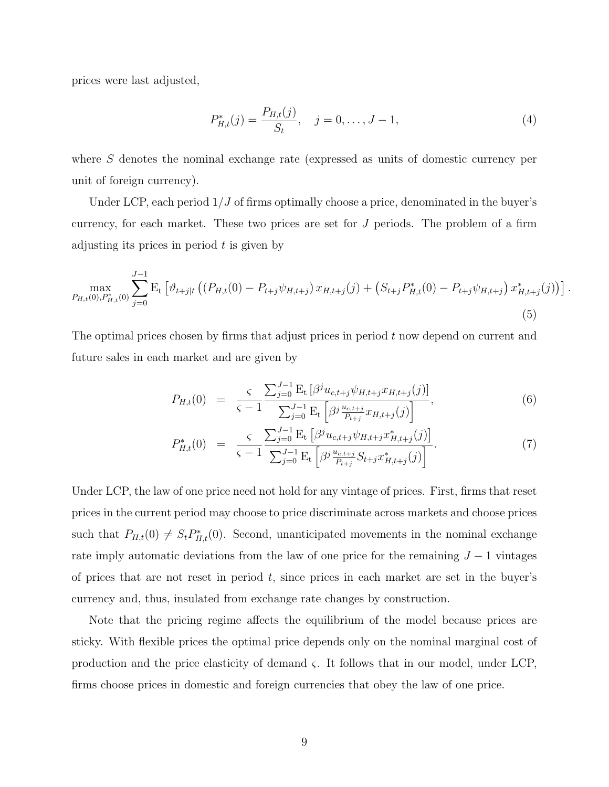prices were last adjusted,

$$
P_{H,t}^*(j) = \frac{P_{H,t}(j)}{S_t}, \quad j = 0, \dots, J-1,
$$
\n(4)

where S denotes the nominal exchange rate (expressed as units of domestic currency per unit of foreign currency).

Under LCP, each period  $1/J$  of firms optimally choose a price, denominated in the buyer's currency, for each market. These two prices are set for J periods. The problem of a firm adjusting its prices in period  $t$  is given by

$$
\max_{P_{H,t}(0), P_{H,t}^*(0)} \sum_{j=0}^{J-1} \mathcal{E}_t \left[ \vartheta_{t+j|t} \left( (P_{H,t}(0) - P_{t+j} \psi_{H,t+j}) x_{H,t+j}(j) + \left( S_{t+j} P_{H,t}^*(0) - P_{t+j} \psi_{H,t+j} \right) x_{H,t+j}^*(j) \right) \right].
$$
\n(5)

The optimal prices chosen by firms that adjust prices in period t now depend on current and future sales in each market and are given by

$$
P_{H,t}(0) = \frac{\varsigma}{\varsigma - 1} \frac{\sum_{j=0}^{J-1} \mathrm{E}_{\mathrm{t}} \left[ \beta^{j} u_{c,t+j} \psi_{H,t+j} x_{H,t+j}(j) \right]}{\sum_{j=0}^{J-1} \mathrm{E}_{\mathrm{t}} \left[ \beta^{j} \frac{u_{c,t+j}}{P_{t+j}} x_{H,t+j}(j) \right]},
$$
(6)

$$
P_{H,t}^{*}(0) = \frac{\varsigma}{\varsigma - 1} \frac{\sum_{j=0}^{J-1} \mathcal{E}_{t} \left[ \beta^{j} u_{c,t+j} \psi_{H,t+j} x_{H,t+j}^{*}(j) \right]}{\sum_{j=0}^{J-1} \mathcal{E}_{t} \left[ \beta^{j} \frac{u_{c,t+j}}{P_{t+j}} S_{t+j} x_{H,t+j}^{*}(j) \right]}.
$$
(7)

Under LCP, the law of one price need not hold for any vintage of prices. First, firms that reset prices in the current period may choose to price discriminate across markets and choose prices such that  $P_{H,t}(0) \neq S_t P_{H,t}^*(0)$ . Second, unanticipated movements in the nominal exchange rate imply automatic deviations from the law of one price for the remaining  $J - 1$  vintages of prices that are not reset in period  $t$ , since prices in each market are set in the buyer's currency and, thus, insulated from exchange rate changes by construction.

Note that the pricing regime affects the equilibrium of the model because prices are sticky. With flexible prices the optimal price depends only on the nominal marginal cost of production and the price elasticity of demand  $\varsigma$ . It follows that in our model, under LCP, firms choose prices in domestic and foreign currencies that obey the law of one price.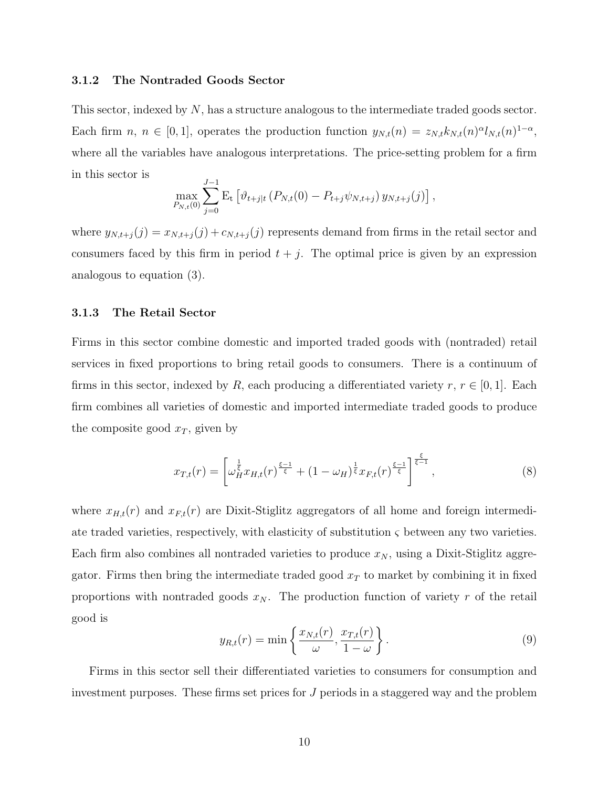#### 3.1.2 The Nontraded Goods Sector

This sector, indexed by N, has a structure analogous to the intermediate traded goods sector. Each firm  $n, n \in [0, 1]$ , operates the production function  $y_{N,t}(n) = z_{N,t} k_{N,t}(n) \alpha l_{N,t}(n)^{1-\alpha}$ , where all the variables have analogous interpretations. The price-setting problem for a firm in this sector is

$$
\max_{P_{N,t}(0)} \sum_{j=0}^{J-1} \mathbf{E}_{t} \left[ \vartheta_{t+j|t} \left( P_{N,t}(0) - P_{t+j} \psi_{N,t+j} \right) y_{N,t+j}(j) \right],
$$

where  $y_{N,t+j}(j) = x_{N,t+j}(j) + c_{N,t+j}(j)$  represents demand from firms in the retail sector and consumers faced by this firm in period  $t + j$ . The optimal price is given by an expression analogous to equation (3).

#### 3.1.3 The Retail Sector

Firms in this sector combine domestic and imported traded goods with (nontraded) retail services in fixed proportions to bring retail goods to consumers. There is a continuum of firms in this sector, indexed by R, each producing a differentiated variety  $r, r \in [0, 1]$ . Each firm combines all varieties of domestic and imported intermediate traded goods to produce the composite good  $x_T$ , given by

$$
x_{T,t}(r) = \left[\omega_H^{\frac{1}{\xi}} x_{H,t}(r)^{\frac{\xi-1}{\xi}} + (1 - \omega_H)^{\frac{1}{\xi}} x_{F,t}(r)^{\frac{\xi-1}{\xi}}\right]^{\frac{\xi}{\xi-1}},\tag{8}
$$

where  $x_{H,t}(r)$  and  $x_{F,t}(r)$  are Dixit-Stiglitz aggregators of all home and foreign intermediate traded varieties, respectively, with elasticity of substitution  $\zeta$  between any two varieties. Each firm also combines all nontraded varieties to produce  $x_N$ , using a Dixit-Stiglitz aggregator. Firms then bring the intermediate traded good  $x<sub>T</sub>$  to market by combining it in fixed proportions with nontraded goods  $x_N$ . The production function of variety r of the retail good is

$$
y_{R,t}(r) = \min\left\{\frac{x_{N,t}(r)}{\omega}, \frac{x_{T,t}(r)}{1-\omega}\right\}.
$$
\n(9)

Firms in this sector sell their differentiated varieties to consumers for consumption and investment purposes. These firms set prices for J periods in a staggered way and the problem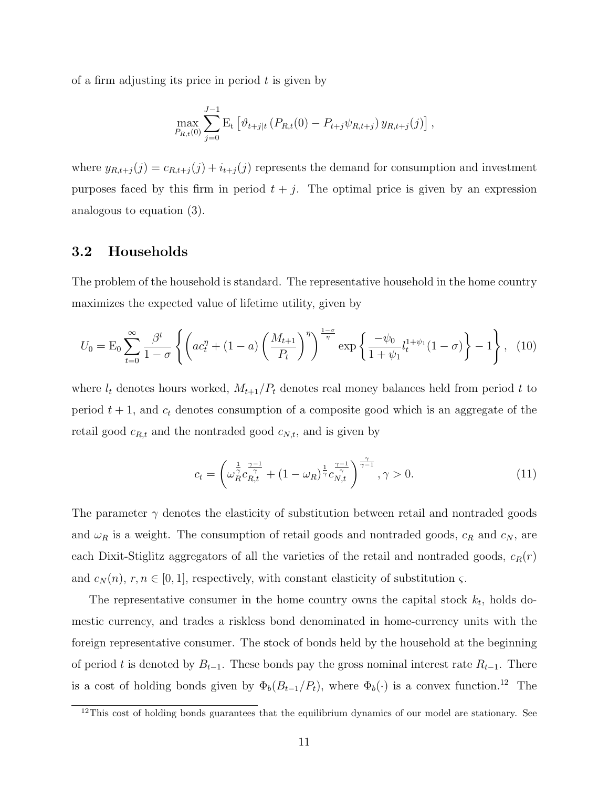of a firm adjusting its price in period  $t$  is given by

$$
\max_{P_{R,t}(0)} \sum_{j=0}^{J-1} \mathbf{E}_{t} \left[ \vartheta_{t+j|t} \left( P_{R,t}(0) - P_{t+j} \psi_{R,t+j} \right) y_{R,t+j}(j) \right],
$$

where  $y_{R,t+j}(j) = c_{R,t+j}(j) + i_{t+j}(j)$  represents the demand for consumption and investment purposes faced by this firm in period  $t + j$ . The optimal price is given by an expression analogous to equation (3).

### 3.2 Households

The problem of the household is standard. The representative household in the home country maximizes the expected value of lifetime utility, given by

$$
U_0 = \mathcal{E}_0 \sum_{t=0}^{\infty} \frac{\beta^t}{1-\sigma} \left\{ \left( ac_t^{\eta} + (1-a) \left( \frac{M_{t+1}}{P_t} \right)^{\eta} \right)^{\frac{1-\sigma}{\eta}} \exp \left\{ \frac{-\psi_0}{1+\psi_1} l_t^{1+\psi_1} (1-\sigma) \right\} - 1 \right\}, \tag{10}
$$

where  $l_t$  denotes hours worked,  $M_{t+1}/P_t$  denotes real money balances held from period t to period  $t + 1$ , and  $c_t$  denotes consumption of a composite good which is an aggregate of the retail good  $c_{R,t}$  and the nontraded good  $c_{N,t}$ , and is given by

$$
c_t = \left(\omega_R^{\frac{1}{\gamma}} c_{R,t}^{\frac{\gamma-1}{\gamma}} + (1 - \omega_R)^{\frac{1}{\gamma}} c_{N,t}^{\frac{\gamma-1}{\gamma}}\right)^{\frac{\gamma}{\gamma-1}}, \gamma > 0.
$$
 (11)

The parameter  $\gamma$  denotes the elasticity of substitution between retail and nontraded goods and  $\omega_R$  is a weight. The consumption of retail goods and nontraded goods,  $c_R$  and  $c_N$ , are each Dixit-Stiglitz aggregators of all the varieties of the retail and nontraded goods,  $c_R(r)$ and  $c_N(n)$ ,  $r, n \in [0, 1]$ , respectively, with constant elasticity of substitution  $\varsigma$ .

The representative consumer in the home country owns the capital stock  $k_t$ , holds domestic currency, and trades a riskless bond denominated in home-currency units with the foreign representative consumer. The stock of bonds held by the household at the beginning of period t is denoted by  $B_{t-1}$ . These bonds pay the gross nominal interest rate  $R_{t-1}$ . There is a cost of holding bonds given by  $\Phi_b(B_{t-1}/P_t)$ , where  $\Phi_b(\cdot)$  is a convex function.<sup>12</sup> The

<sup>&</sup>lt;sup>12</sup>This cost of holding bonds guarantees that the equilibrium dynamics of our model are stationary. See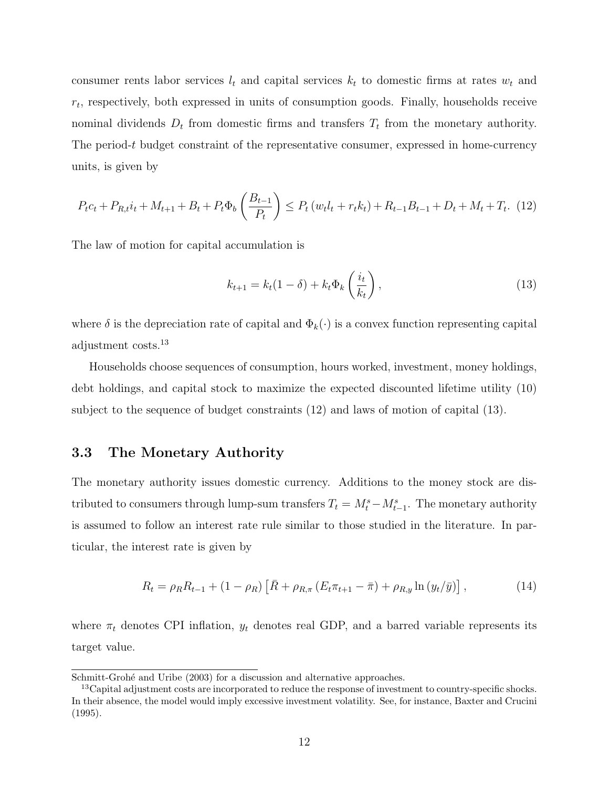consumer rents labor services  $l_t$  and capital services  $k_t$  to domestic firms at rates  $w_t$  and  $r_t$ , respectively, both expressed in units of consumption goods. Finally, households receive nominal dividends  $D_t$  from domestic firms and transfers  $T_t$  from the monetary authority. The period-t budget constraint of the representative consumer, expressed in home-currency units, is given by

$$
P_{t}c_{t} + P_{R,t}i_{t} + M_{t+1} + B_{t} + P_{t}\Phi_{b}\left(\frac{B_{t-1}}{P_{t}}\right) \le P_{t}\left(w_{t}l_{t} + r_{t}k_{t}\right) + R_{t-1}B_{t-1} + D_{t} + M_{t} + T_{t}.\tag{12}
$$

The law of motion for capital accumulation is

$$
k_{t+1} = k_t(1 - \delta) + k_t \Phi_k \left(\frac{i_t}{k_t}\right),\tag{13}
$$

where  $\delta$  is the depreciation rate of capital and  $\Phi_k(\cdot)$  is a convex function representing capital adjustment costs.<sup>13</sup>

Households choose sequences of consumption, hours worked, investment, money holdings, debt holdings, and capital stock to maximize the expected discounted lifetime utility (10) subject to the sequence of budget constraints (12) and laws of motion of capital (13).

### 3.3 The Monetary Authority

The monetary authority issues domestic currency. Additions to the money stock are distributed to consumers through lump-sum transfers  $T_t = M_t^s - M_{t-1}^s$ . The monetary authority is assumed to follow an interest rate rule similar to those studied in the literature. In particular, the interest rate is given by

$$
R_t = \rho_R R_{t-1} + (1 - \rho_R) \left[ \bar{R} + \rho_{R,\pi} \left( E_t \pi_{t+1} - \bar{\pi} \right) + \rho_{R,y} \ln \left( y_t / \bar{y} \right) \right],\tag{14}
$$

where  $\pi_t$  denotes CPI inflation,  $y_t$  denotes real GDP, and a barred variable represents its target value.

Schmitt-Grohé and Uribe (2003) for a discussion and alternative approaches.

<sup>&</sup>lt;sup>13</sup>Capital adjustment costs are incorporated to reduce the response of investment to country-specific shocks. In their absence, the model would imply excessive investment volatility. See, for instance, Baxter and Crucini (1995).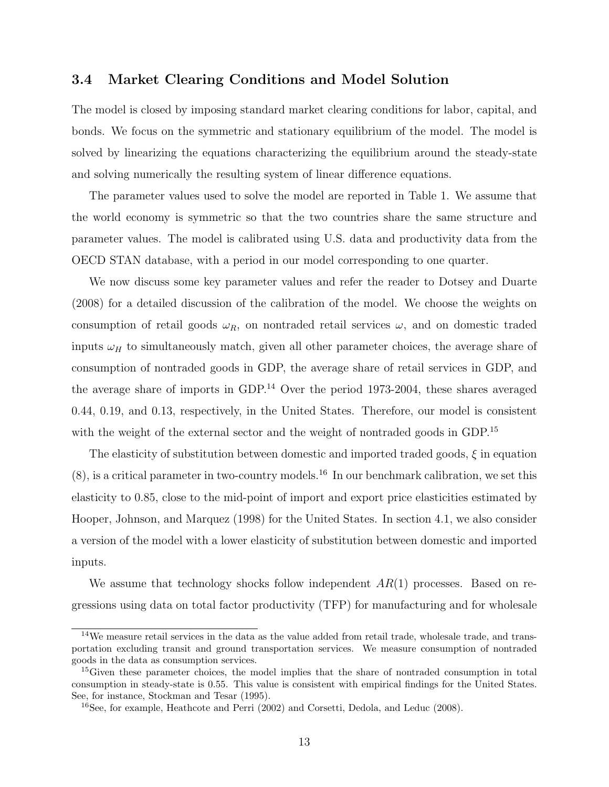### 3.4 Market Clearing Conditions and Model Solution

The model is closed by imposing standard market clearing conditions for labor, capital, and bonds. We focus on the symmetric and stationary equilibrium of the model. The model is solved by linearizing the equations characterizing the equilibrium around the steady-state and solving numerically the resulting system of linear difference equations.

The parameter values used to solve the model are reported in Table 1. We assume that the world economy is symmetric so that the two countries share the same structure and parameter values. The model is calibrated using U.S. data and productivity data from the OECD STAN database, with a period in our model corresponding to one quarter.

We now discuss some key parameter values and refer the reader to Dotsey and Duarte (2008) for a detailed discussion of the calibration of the model. We choose the weights on consumption of retail goods  $\omega_R$ , on nontraded retail services  $\omega$ , and on domestic traded inputs  $\omega_H$  to simultaneously match, given all other parameter choices, the average share of consumption of nontraded goods in GDP, the average share of retail services in GDP, and the average share of imports in GDP.<sup>14</sup> Over the period 1973-2004, these shares averaged 0.44, 0.19, and 0.13, respectively, in the United States. Therefore, our model is consistent with the weight of the external sector and the weight of nontraded goods in GDP.<sup>15</sup>

The elasticity of substitution between domestic and imported traded goods,  $\xi$  in equation  $(8)$ , is a critical parameter in two-country models.<sup>16</sup> In our benchmark calibration, we set this elasticity to 0.85, close to the mid-point of import and export price elasticities estimated by Hooper, Johnson, and Marquez (1998) for the United States. In section 4.1, we also consider a version of the model with a lower elasticity of substitution between domestic and imported inputs.

We assume that technology shocks follow independent  $AR(1)$  processes. Based on regressions using data on total factor productivity (TFP) for manufacturing and for wholesale

<sup>&</sup>lt;sup>14</sup>We measure retail services in the data as the value added from retail trade, wholesale trade, and transportation excluding transit and ground transportation services. We measure consumption of nontraded goods in the data as consumption services.

<sup>&</sup>lt;sup>15</sup>Given these parameter choices, the model implies that the share of nontraded consumption in total consumption in steady-state is 0.55. This value is consistent with empirical findings for the United States. See, for instance, Stockman and Tesar (1995).

<sup>16</sup>See, for example, Heathcote and Perri (2002) and Corsetti, Dedola, and Leduc (2008).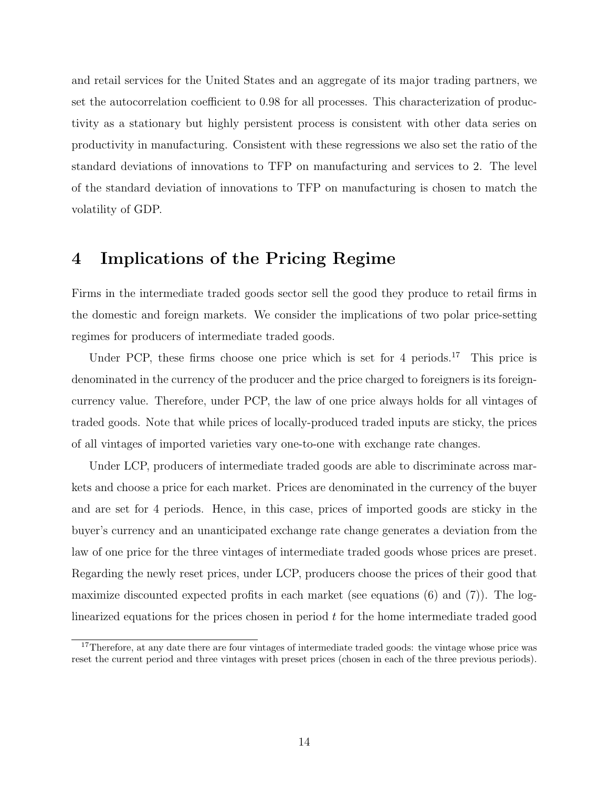and retail services for the United States and an aggregate of its major trading partners, we set the autocorrelation coefficient to 0.98 for all processes. This characterization of productivity as a stationary but highly persistent process is consistent with other data series on productivity in manufacturing. Consistent with these regressions we also set the ratio of the standard deviations of innovations to TFP on manufacturing and services to 2. The level of the standard deviation of innovations to TFP on manufacturing is chosen to match the volatility of GDP.

### 4 Implications of the Pricing Regime

Firms in the intermediate traded goods sector sell the good they produce to retail firms in the domestic and foreign markets. We consider the implications of two polar price-setting regimes for producers of intermediate traded goods.

Under PCP, these firms choose one price which is set for 4 periods.<sup>17</sup> This price is denominated in the currency of the producer and the price charged to foreigners is its foreigncurrency value. Therefore, under PCP, the law of one price always holds for all vintages of traded goods. Note that while prices of locally-produced traded inputs are sticky, the prices of all vintages of imported varieties vary one-to-one with exchange rate changes.

Under LCP, producers of intermediate traded goods are able to discriminate across markets and choose a price for each market. Prices are denominated in the currency of the buyer and are set for 4 periods. Hence, in this case, prices of imported goods are sticky in the buyer's currency and an unanticipated exchange rate change generates a deviation from the law of one price for the three vintages of intermediate traded goods whose prices are preset. Regarding the newly reset prices, under LCP, producers choose the prices of their good that maximize discounted expected profits in each market (see equations  $(6)$  and  $(7)$ ). The loglinearized equations for the prices chosen in period  $t$  for the home intermediate traded good

<sup>&</sup>lt;sup>17</sup>Therefore, at any date there are four vintages of intermediate traded goods: the vintage whose price was reset the current period and three vintages with preset prices (chosen in each of the three previous periods).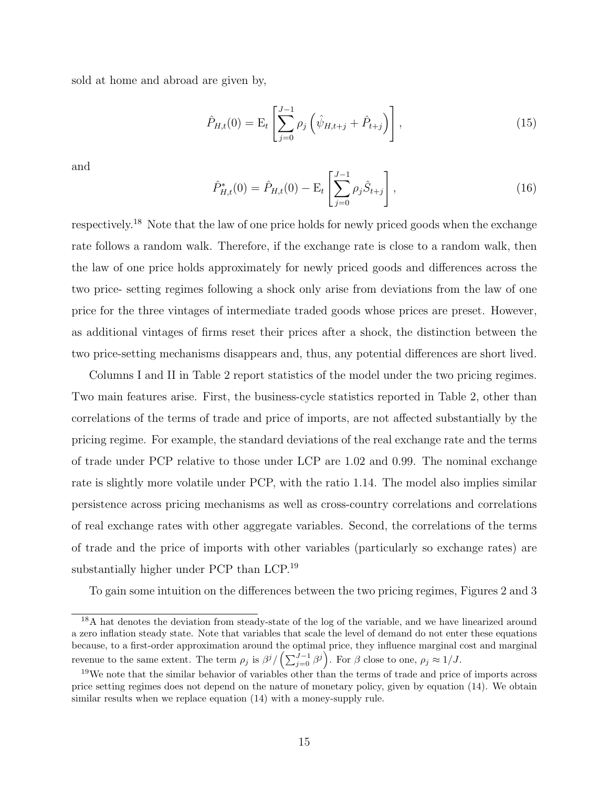sold at home and abroad are given by,

$$
\hat{P}_{H,t}(0) = \mathcal{E}_t \left[ \sum_{j=0}^{J-1} \rho_j \left( \hat{\psi}_{H,t+j} + \hat{P}_{t+j} \right) \right],
$$
\n(15)

and

$$
\hat{P}_{H,t}^*(0) = \hat{P}_{H,t}(0) - \mathcal{E}_t \left[ \sum_{j=0}^{J-1} \rho_j \hat{S}_{t+j} \right],\tag{16}
$$

respectively.<sup>18</sup> Note that the law of one price holds for newly priced goods when the exchange rate follows a random walk. Therefore, if the exchange rate is close to a random walk, then the law of one price holds approximately for newly priced goods and differences across the two price- setting regimes following a shock only arise from deviations from the law of one price for the three vintages of intermediate traded goods whose prices are preset. However, as additional vintages of firms reset their prices after a shock, the distinction between the two price-setting mechanisms disappears and, thus, any potential differences are short lived.

Columns I and II in Table 2 report statistics of the model under the two pricing regimes. Two main features arise. First, the business-cycle statistics reported in Table 2, other than correlations of the terms of trade and price of imports, are not affected substantially by the pricing regime. For example, the standard deviations of the real exchange rate and the terms of trade under PCP relative to those under LCP are 1.02 and 0.99. The nominal exchange rate is slightly more volatile under PCP, with the ratio 1.14. The model also implies similar persistence across pricing mechanisms as well as cross-country correlations and correlations of real exchange rates with other aggregate variables. Second, the correlations of the terms of trade and the price of imports with other variables (particularly so exchange rates) are substantially higher under PCP than LCP.<sup>19</sup>

To gain some intuition on the differences between the two pricing regimes, Figures 2 and 3

<sup>&</sup>lt;sup>18</sup>A hat denotes the deviation from steady-state of the log of the variable, and we have linearized around a zero inflation steady state. Note that variables that scale the level of demand do not enter these equations because, to a first-order approximation around the optimal price, they influence marginal cost and marginal revenue to the same extent. The term  $\rho_j$  is  $\beta^j / (\sum_{j=0}^{J-1} \beta^j)$ . For  $\beta$  close to one,  $\rho_j \approx 1/J$ .

 $19$ We note that the similar behavior of variables other than the terms of trade and price of imports across price setting regimes does not depend on the nature of monetary policy, given by equation (14). We obtain similar results when we replace equation (14) with a money-supply rule.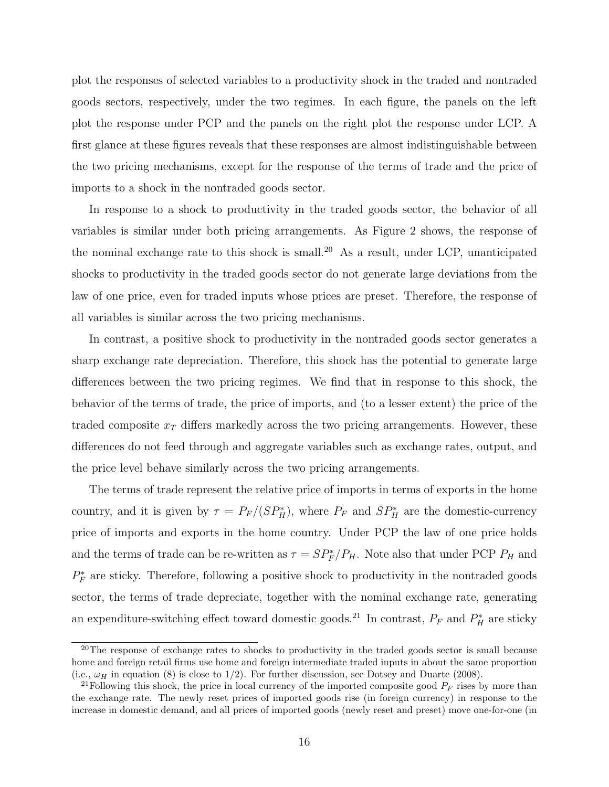plot the responses of selected variables to a productivity shock in the traded and nontraded goods sectors, respectively, under the two regimes. In each figure, the panels on the left plot the response under PCP and the panels on the right plot the response under LCP. A first glance at these figures reveals that these responses are almost indistinguishable between the two pricing mechanisms, except for the response of the terms of trade and the price of imports to a shock in the nontraded goods sector.

In response to a shock to productivity in the traded goods sector, the behavior of all variables is similar under both pricing arrangements. As Figure 2 shows, the response of the nominal exchange rate to this shock is small.<sup>20</sup> As a result, under LCP, unanticipated shocks to productivity in the traded goods sector do not generate large deviations from the law of one price, even for traded inputs whose prices are preset. Therefore, the response of all variables is similar across the two pricing mechanisms.

In contrast, a positive shock to productivity in the nontraded goods sector generates a sharp exchange rate depreciation. Therefore, this shock has the potential to generate large differences between the two pricing regimes. We find that in response to this shock, the behavior of the terms of trade, the price of imports, and (to a lesser extent) the price of the traded composite  $x_T$  differs markedly across the two pricing arrangements. However, these differences do not feed through and aggregate variables such as exchange rates, output, and the price level behave similarly across the two pricing arrangements.

The terms of trade represent the relative price of imports in terms of exports in the home country, and it is given by  $\tau = P_F/(SP_H^*)$ , where  $P_F$  and  $SP_H^*$  are the domestic-currency price of imports and exports in the home country. Under PCP the law of one price holds and the terms of trade can be re-written as  $\tau = SP_F^*/P_H$ . Note also that under PCP  $P_H$  and  $P_F^*$  are sticky. Therefore, following a positive shock to productivity in the nontraded goods sector, the terms of trade depreciate, together with the nominal exchange rate, generating an expenditure-switching effect toward domestic goods.<sup>21</sup> In contrast,  $P_F$  and  $P_H^*$  are sticky

<sup>20</sup>The response of exchange rates to shocks to productivity in the traded goods sector is small because home and foreign retail firms use home and foreign intermediate traded inputs in about the same proportion (i.e.,  $\omega_H$  in equation (8) is close to 1/2). For further discussion, see Dotsey and Duarte (2008).

<sup>&</sup>lt;sup>21</sup>Following this shock, the price in local currency of the imported composite good  $P_F$  rises by more than the exchange rate. The newly reset prices of imported goods rise (in foreign currency) in response to the increase in domestic demand, and all prices of imported goods (newly reset and preset) move one-for-one (in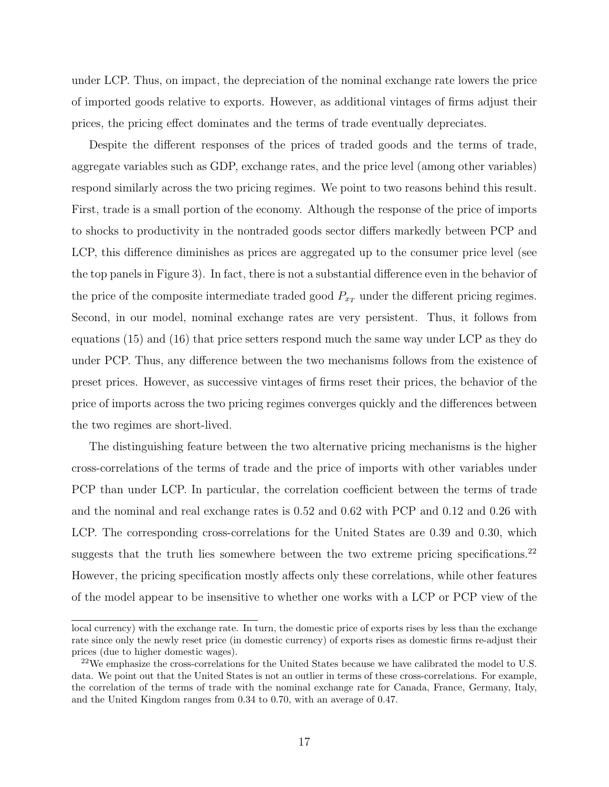under LCP. Thus, on impact, the depreciation of the nominal exchange rate lowers the price of imported goods relative to exports. However, as additional vintages of firms adjust their prices, the pricing effect dominates and the terms of trade eventually depreciates.

Despite the different responses of the prices of traded goods and the terms of trade, aggregate variables such as GDP, exchange rates, and the price level (among other variables) respond similarly across the two pricing regimes. We point to two reasons behind this result. First, trade is a small portion of the economy. Although the response of the price of imports to shocks to productivity in the nontraded goods sector differs markedly between PCP and LCP, this difference diminishes as prices are aggregated up to the consumer price level (see the top panels in Figure 3). In fact, there is not a substantial difference even in the behavior of the price of the composite intermediate traded good  $P_{xx}$  under the different pricing regimes. Second, in our model, nominal exchange rates are very persistent. Thus, it follows from equations (15) and (16) that price setters respond much the same way under LCP as they do under PCP. Thus, any difference between the two mechanisms follows from the existence of preset prices. However, as successive vintages of firms reset their prices, the behavior of the price of imports across the two pricing regimes converges quickly and the differences between the two regimes are short-lived.

The distinguishing feature between the two alternative pricing mechanisms is the higher cross-correlations of the terms of trade and the price of imports with other variables under PCP than under LCP. In particular, the correlation coefficient between the terms of trade and the nominal and real exchange rates is 0.52 and 0.62 with PCP and 0.12 and 0.26 with LCP. The corresponding cross-correlations for the United States are 0.39 and 0.30, which suggests that the truth lies somewhere between the two extreme pricing specifications.<sup>22</sup> However, the pricing specification mostly affects only these correlations, while other features of the model appear to be insensitive to whether one works with a LCP or PCP view of the

local currency) with the exchange rate. In turn, the domestic price of exports rises by less than the exchange rate since only the newly reset price (in domestic currency) of exports rises as domestic firms re-adjust their prices (due to higher domestic wages).

<sup>&</sup>lt;sup>22</sup>We emphasize the cross-correlations for the United States because we have calibrated the model to U.S. data. We point out that the United States is not an outlier in terms of these cross-correlations. For example, the correlation of the terms of trade with the nominal exchange rate for Canada, France, Germany, Italy, and the United Kingdom ranges from 0.34 to 0.70, with an average of 0.47.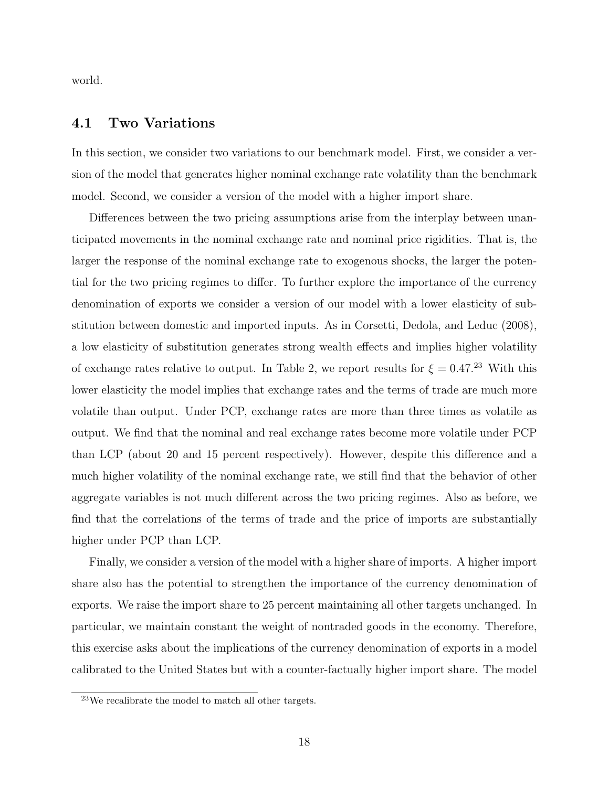world.

#### 4.1 Two Variations

In this section, we consider two variations to our benchmark model. First, we consider a version of the model that generates higher nominal exchange rate volatility than the benchmark model. Second, we consider a version of the model with a higher import share.

Differences between the two pricing assumptions arise from the interplay between unanticipated movements in the nominal exchange rate and nominal price rigidities. That is, the larger the response of the nominal exchange rate to exogenous shocks, the larger the potential for the two pricing regimes to differ. To further explore the importance of the currency denomination of exports we consider a version of our model with a lower elasticity of substitution between domestic and imported inputs. As in Corsetti, Dedola, and Leduc (2008), a low elasticity of substitution generates strong wealth effects and implies higher volatility of exchange rates relative to output. In Table 2, we report results for  $\xi = 0.47$ .<sup>23</sup> With this lower elasticity the model implies that exchange rates and the terms of trade are much more volatile than output. Under PCP, exchange rates are more than three times as volatile as output. We find that the nominal and real exchange rates become more volatile under PCP than LCP (about 20 and 15 percent respectively). However, despite this difference and a much higher volatility of the nominal exchange rate, we still find that the behavior of other aggregate variables is not much different across the two pricing regimes. Also as before, we find that the correlations of the terms of trade and the price of imports are substantially higher under PCP than LCP.

Finally, we consider a version of the model with a higher share of imports. A higher import share also has the potential to strengthen the importance of the currency denomination of exports. We raise the import share to 25 percent maintaining all other targets unchanged. In particular, we maintain constant the weight of nontraded goods in the economy. Therefore, this exercise asks about the implications of the currency denomination of exports in a model calibrated to the United States but with a counter-factually higher import share. The model

<sup>23</sup>We recalibrate the model to match all other targets.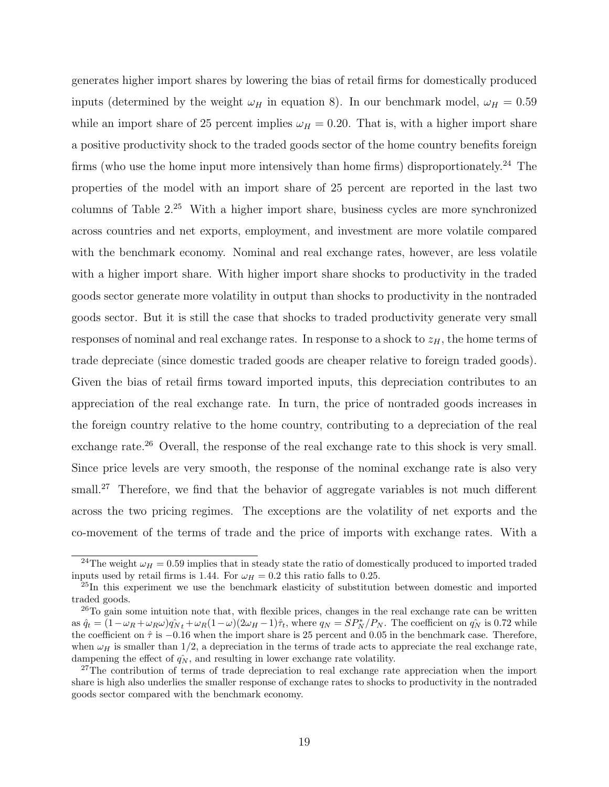generates higher import shares by lowering the bias of retail firms for domestically produced inputs (determined by the weight  $\omega_H$  in equation 8). In our benchmark model,  $\omega_H = 0.59$ while an import share of 25 percent implies  $\omega_H = 0.20$ . That is, with a higher import share a positive productivity shock to the traded goods sector of the home country benefits foreign firms (who use the home input more intensively than home firms) disproportionately.<sup>24</sup> The properties of the model with an import share of 25 percent are reported in the last two columns of Table  $2^{25}$  With a higher import share, business cycles are more synchronized across countries and net exports, employment, and investment are more volatile compared with the benchmark economy. Nominal and real exchange rates, however, are less volatile with a higher import share. With higher import share shocks to productivity in the traded goods sector generate more volatility in output than shocks to productivity in the nontraded goods sector. But it is still the case that shocks to traded productivity generate very small responses of nominal and real exchange rates. In response to a shock to  $z_H$ , the home terms of trade depreciate (since domestic traded goods are cheaper relative to foreign traded goods). Given the bias of retail firms toward imported inputs, this depreciation contributes to an appreciation of the real exchange rate. In turn, the price of nontraded goods increases in the foreign country relative to the home country, contributing to a depreciation of the real exchange rate.<sup>26</sup> Overall, the response of the real exchange rate to this shock is very small. Since price levels are very smooth, the response of the nominal exchange rate is also very small.<sup>27</sup> Therefore, we find that the behavior of aggregate variables is not much different across the two pricing regimes. The exceptions are the volatility of net exports and the co-movement of the terms of trade and the price of imports with exchange rates. With a

<sup>&</sup>lt;sup>24</sup>The weight  $\omega_H = 0.59$  implies that in steady state the ratio of domestically produced to imported traded inputs used by retail firms is 1.44. For  $\omega_H = 0.2$  this ratio falls to 0.25.

<sup>&</sup>lt;sup>25</sup>In this experiment we use the benchmark elasticity of substitution between domestic and imported traded goods.

 $26T$ o gain some intuition note that, with flexible prices, changes in the real exchange rate can be written as  $\hat{q}_t = (1 - \omega_R + \omega_R \omega) \hat{q}_{Nt} + \omega_R (1 - \omega) (2\omega_H - 1) \hat{\tau}_t$ , where  $q_N = SP_N^* / P_N$ . The coefficient on  $\hat{q}_N$  is 0.72 while the coefficient on  $\hat{\tau}$  is  $-0.16$  when the import share is 25 percent and 0.05 in the benchmark case. Therefore, when  $\omega_H$  is smaller than 1/2, a depreciation in the terms of trade acts to appreciate the real exchange rate, dampening the effect of  $q_N$ , and resulting in lower exchange rate volatility.

<sup>&</sup>lt;sup>27</sup>The contribution of terms of trade depreciation to real exchange rate appreciation when the import share is high also underlies the smaller response of exchange rates to shocks to productivity in the nontraded goods sector compared with the benchmark economy.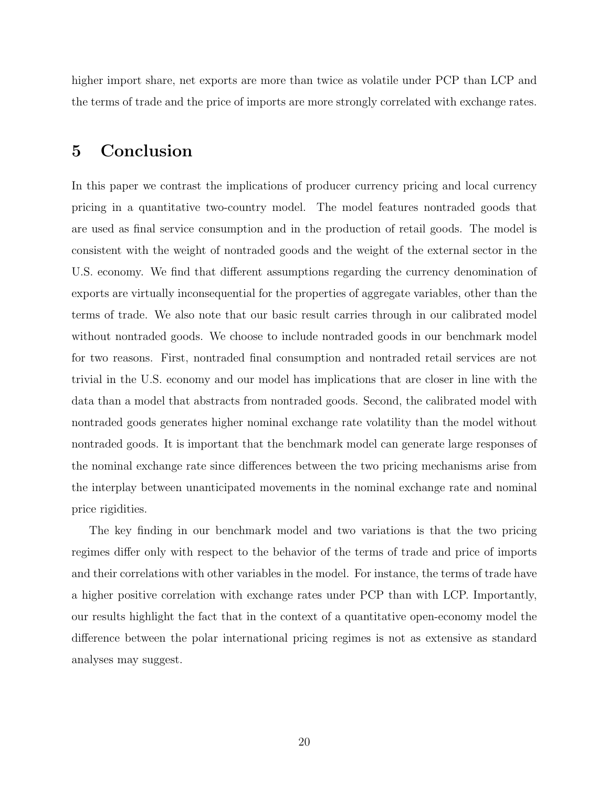higher import share, net exports are more than twice as volatile under PCP than LCP and the terms of trade and the price of imports are more strongly correlated with exchange rates.

# 5 Conclusion

In this paper we contrast the implications of producer currency pricing and local currency pricing in a quantitative two-country model. The model features nontraded goods that are used as final service consumption and in the production of retail goods. The model is consistent with the weight of nontraded goods and the weight of the external sector in the U.S. economy. We find that different assumptions regarding the currency denomination of exports are virtually inconsequential for the properties of aggregate variables, other than the terms of trade. We also note that our basic result carries through in our calibrated model without nontraded goods. We choose to include nontraded goods in our benchmark model for two reasons. First, nontraded final consumption and nontraded retail services are not trivial in the U.S. economy and our model has implications that are closer in line with the data than a model that abstracts from nontraded goods. Second, the calibrated model with nontraded goods generates higher nominal exchange rate volatility than the model without nontraded goods. It is important that the benchmark model can generate large responses of the nominal exchange rate since differences between the two pricing mechanisms arise from the interplay between unanticipated movements in the nominal exchange rate and nominal price rigidities.

The key finding in our benchmark model and two variations is that the two pricing regimes differ only with respect to the behavior of the terms of trade and price of imports and their correlations with other variables in the model. For instance, the terms of trade have a higher positive correlation with exchange rates under PCP than with LCP. Importantly, our results highlight the fact that in the context of a quantitative open-economy model the difference between the polar international pricing regimes is not as extensive as standard analyses may suggest.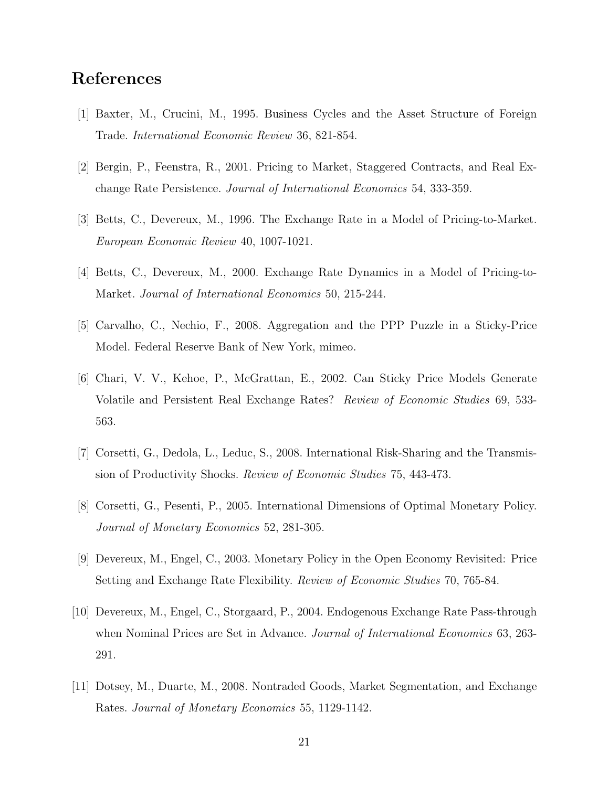# References

- [1] Baxter, M., Crucini, M., 1995. Business Cycles and the Asset Structure of Foreign Trade. International Economic Review 36, 821-854.
- [2] Bergin, P., Feenstra, R., 2001. Pricing to Market, Staggered Contracts, and Real Exchange Rate Persistence. Journal of International Economics 54, 333-359.
- [3] Betts, C., Devereux, M., 1996. The Exchange Rate in a Model of Pricing-to-Market. European Economic Review 40, 1007-1021.
- [4] Betts, C., Devereux, M., 2000. Exchange Rate Dynamics in a Model of Pricing-to-Market. Journal of International Economics 50, 215-244.
- [5] Carvalho, C., Nechio, F., 2008. Aggregation and the PPP Puzzle in a Sticky-Price Model. Federal Reserve Bank of New York, mimeo.
- [6] Chari, V. V., Kehoe, P., McGrattan, E., 2002. Can Sticky Price Models Generate Volatile and Persistent Real Exchange Rates? Review of Economic Studies 69, 533- 563.
- [7] Corsetti, G., Dedola, L., Leduc, S., 2008. International Risk-Sharing and the Transmission of Productivity Shocks. Review of Economic Studies 75, 443-473.
- [8] Corsetti, G., Pesenti, P., 2005. International Dimensions of Optimal Monetary Policy. Journal of Monetary Economics 52, 281-305.
- [9] Devereux, M., Engel, C., 2003. Monetary Policy in the Open Economy Revisited: Price Setting and Exchange Rate Flexibility. Review of Economic Studies 70, 765-84.
- [10] Devereux, M., Engel, C., Storgaard, P., 2004. Endogenous Exchange Rate Pass-through when Nominal Prices are Set in Advance. Journal of International Economics 63, 263-291.
- [11] Dotsey, M., Duarte, M., 2008. Nontraded Goods, Market Segmentation, and Exchange Rates. Journal of Monetary Economics 55, 1129-1142.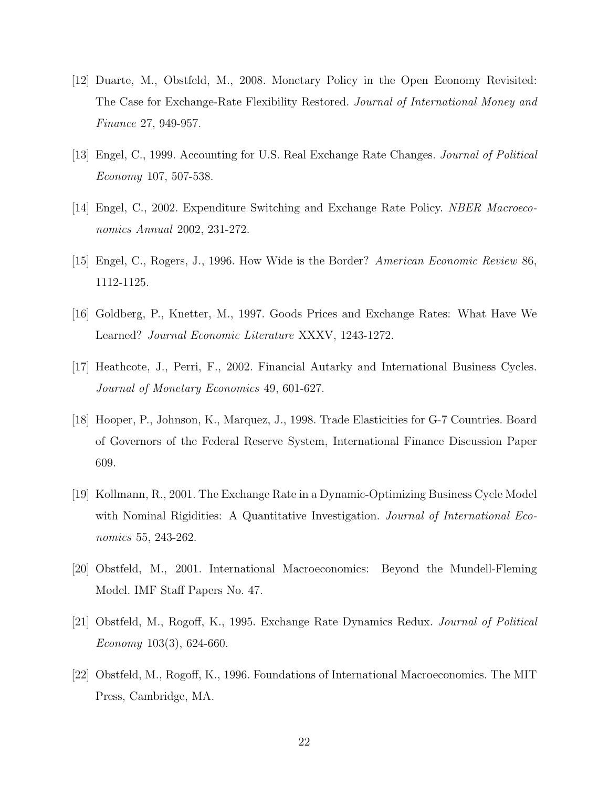- [12] Duarte, M., Obstfeld, M., 2008. Monetary Policy in the Open Economy Revisited: The Case for Exchange-Rate Flexibility Restored. Journal of International Money and Finance 27, 949-957.
- [13] Engel, C., 1999. Accounting for U.S. Real Exchange Rate Changes. Journal of Political Economy 107, 507-538.
- [14] Engel, C., 2002. Expenditure Switching and Exchange Rate Policy. *NBER Macroeco*nomics Annual 2002, 231-272.
- [15] Engel, C., Rogers, J., 1996. How Wide is the Border? American Economic Review 86, 1112-1125.
- [16] Goldberg, P., Knetter, M., 1997. Goods Prices and Exchange Rates: What Have We Learned? Journal Economic Literature XXXV, 1243-1272.
- [17] Heathcote, J., Perri, F., 2002. Financial Autarky and International Business Cycles. Journal of Monetary Economics 49, 601-627.
- [18] Hooper, P., Johnson, K., Marquez, J., 1998. Trade Elasticities for G-7 Countries. Board of Governors of the Federal Reserve System, International Finance Discussion Paper 609.
- [19] Kollmann, R., 2001. The Exchange Rate in a Dynamic-Optimizing Business Cycle Model with Nominal Rigidities: A Quantitative Investigation. *Journal of International Eco*nomics 55, 243-262.
- [20] Obstfeld, M., 2001. International Macroeconomics: Beyond the Mundell-Fleming Model. IMF Staff Papers No. 47.
- [21] Obstfeld, M., Rogoff, K., 1995. Exchange Rate Dynamics Redux. Journal of Political Economy 103(3), 624-660.
- [22] Obstfeld, M., Rogoff, K., 1996. Foundations of International Macroeconomics. The MIT Press, Cambridge, MA.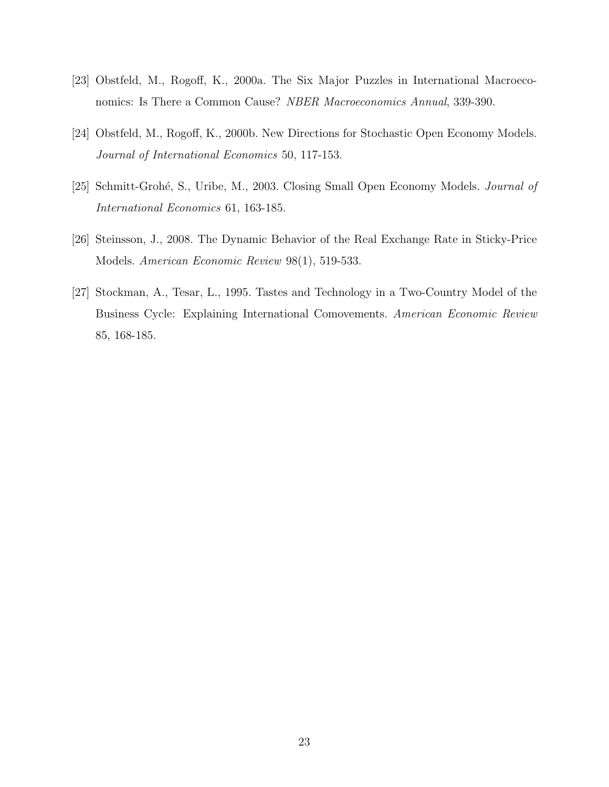- [23] Obstfeld, M., Rogoff, K., 2000a. The Six Major Puzzles in International Macroeconomics: Is There a Common Cause? NBER Macroeconomics Annual, 339-390.
- [24] Obstfeld, M., Rogoff, K., 2000b. New Directions for Stochastic Open Economy Models. Journal of International Economics 50, 117-153.
- [25] Schmitt-Grohé, S., Uribe, M., 2003. Closing Small Open Economy Models. *Journal of* International Economics 61, 163-185.
- [26] Steinsson, J., 2008. The Dynamic Behavior of the Real Exchange Rate in Sticky-Price Models. American Economic Review 98(1), 519-533.
- [27] Stockman, A., Tesar, L., 1995. Tastes and Technology in a Two-Country Model of the Business Cycle: Explaining International Comovements. American Economic Review 85, 168-185.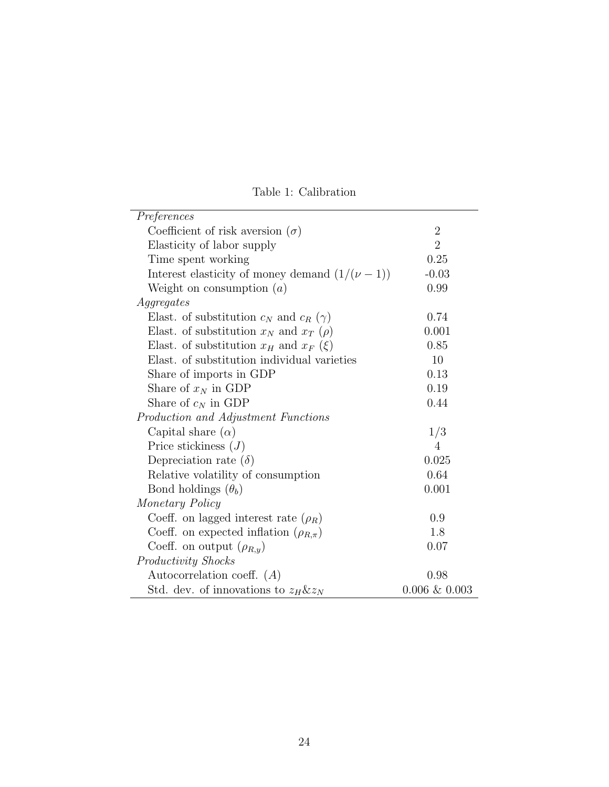| Preferences                                       |                  |  |  |
|---------------------------------------------------|------------------|--|--|
| Coefficient of risk aversion $(\sigma)$           | $\overline{2}$   |  |  |
| Elasticity of labor supply                        | $\overline{2}$   |  |  |
| Time spent working                                | 0.25             |  |  |
| Interest elasticity of money demand $(1/(\nu-1))$ | $-0.03$          |  |  |
| Weight on consumption $(a)$                       | 0.99             |  |  |
| Aggregates                                        |                  |  |  |
| Elast. of substitution $c_N$ and $c_R(\gamma)$    | 0.74             |  |  |
| Elast. of substitution $x_N$ and $x_T$ ( $\rho$ ) | 0.001            |  |  |
| Elast. of substitution $x_H$ and $x_F$ ( $\xi$ )  | 0.85             |  |  |
| Elast. of substitution individual varieties       | 10               |  |  |
| Share of imports in GDP                           | 0.13             |  |  |
| Share of $x_N$ in GDP                             | 0.19             |  |  |
| Share of $c_N$ in GDP                             | 0.44             |  |  |
| Production and Adjustment Functions               |                  |  |  |
| Capital share $(\alpha)$                          | 1/3              |  |  |
| Price stickiness $(J)$                            | $\overline{4}$   |  |  |
| Depreciation rate $(\delta)$                      | 0.025            |  |  |
| Relative volatility of consumption                | 0.64             |  |  |
| Bond holdings $(\theta_b)$                        | 0.001            |  |  |
| Monetary Policy                                   |                  |  |  |
| Coeff. on lagged interest rate $(\rho_R)$         | 0.9              |  |  |
| Coeff. on expected inflation $(\rho_{R,\pi})$     | 1.8              |  |  |
| Coeff. on output $(\rho_{R,y})$                   | 0.07             |  |  |
| Productivity Shocks                               |                  |  |  |
| Autocorrelation coeff. $(A)$                      | 0.98             |  |  |
| Std. dev. of innovations to $z_H \& z_N$          | $0.006 \& 0.003$ |  |  |

Table 1: Calibration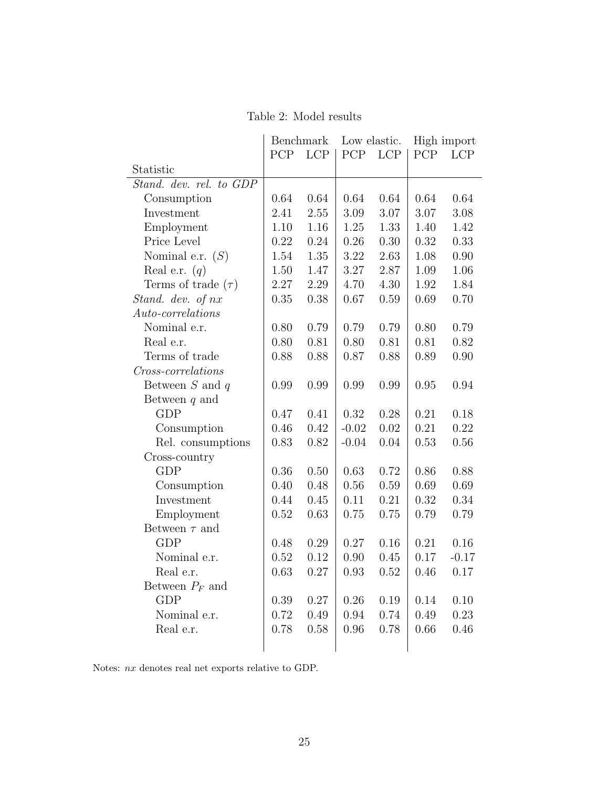Table 2: Model results

|                         | Benchmark |          | Low elastic. |          | High import |         |
|-------------------------|-----------|----------|--------------|----------|-------------|---------|
|                         | PCP       | LCP      | PCP          | LCP      | PCP         | LCP     |
| Statistic               |           |          |              |          |             |         |
| Stand. dev. rel. to GDP |           |          |              |          |             |         |
| Consumption             | 0.64      | 0.64     | 0.64         | 0.64     | 0.64        | 0.64    |
| Investment              | 2.41      | 2.55     | 3.09         | 3.07     | 3.07        | 3.08    |
| Employment              | 1.10      | 1.16     | 1.25         | 1.33     | 1.40        | 1.42    |
| Price Level             | 0.22      | 0.24     | 0.26         | 0.30     | 0.32        | 0.33    |
| Nominal e.r. $(S)$      | 1.54      | 1.35     | $3.22\,$     | 2.63     | 1.08        | 0.90    |
| Real e.r. $(q)$         | 1.50      | 1.47     | 3.27         | 2.87     | 1.09        | 1.06    |
| Terms of trade $(\tau)$ | 2.27      | 2.29     | 4.70         | 4.30     | 1.92        | 1.84    |
| Stand. dev. of $nx$     | 0.35      | 0.38     | 0.67         | 0.59     | 0.69        | 0.70    |
| $Auto-correlations$     |           |          |              |          |             |         |
| Nominal e.r.            | 0.80      | 0.79     | 0.79         | 0.79     | 0.80        | 0.79    |
| Real e.r.               | 0.80      | $0.81\,$ | 0.80         | $0.81\,$ | 0.81        | 0.82    |
| Terms of trade          | 0.88      | 0.88     | 0.87         | 0.88     | 0.89        | 0.90    |
| Cross-correlations      |           |          |              |          |             |         |
| Between $S$ and $q$     | 0.99      | 0.99     | 0.99         | 0.99     | 0.95        | 0.94    |
| Between $q$ and         |           |          |              |          |             |         |
| <b>GDP</b>              | 0.47      | 0.41     | 0.32         | 0.28     | 0.21        | 0.18    |
| Consumption             | 0.46      | 0.42     | $-0.02$      | 0.02     | 0.21        | 0.22    |
| Rel. consumptions       | 0.83      | 0.82     | $-0.04$      | 0.04     | 0.53        | 0.56    |
| Cross-country           |           |          |              |          |             |         |
| <b>GDP</b>              | 0.36      | 0.50     | 0.63         | 0.72     | 0.86        | 0.88    |
| Consumption             | 0.40      | 0.48     | 0.56         | 0.59     | 0.69        | 0.69    |
| Investment              | 0.44      | 0.45     | 0.11         | 0.21     | 0.32        | 0.34    |
| Employment              | 0.52      | 0.63     | 0.75         | 0.75     | 0.79        | 0.79    |
| Between $\tau$ and      |           |          |              |          |             |         |
| <b>GDP</b>              | 0.48      | $0.29\,$ | 0.27         | 0.16     | 0.21        | 0.16    |
| Nominal e.r.            | 0.52      | 0.12     | 0.90         | 0.45     | 0.17        | $-0.17$ |
| Real e.r.               | 0.63      | 0.27     | 0.93         | 0.52     | 0.46        | 0.17    |
| Between $P_F$ and       |           |          |              |          |             |         |
| <b>GDP</b>              | 0.39      | $0.27\,$ | 0.26         | 0.19     | 0.14        | 0.10    |
| Nominal e.r.            | 0.72      | 0.49     | 0.94         | 0.74     | 0.49        | 0.23    |
| Real e.r.               | 0.78      | 0.58     | 0.96         | 0.78     | 0.66        | 0.46    |
|                         |           |          |              |          |             |         |

Notes:  $nx$  denotes real net exports relative to GDP.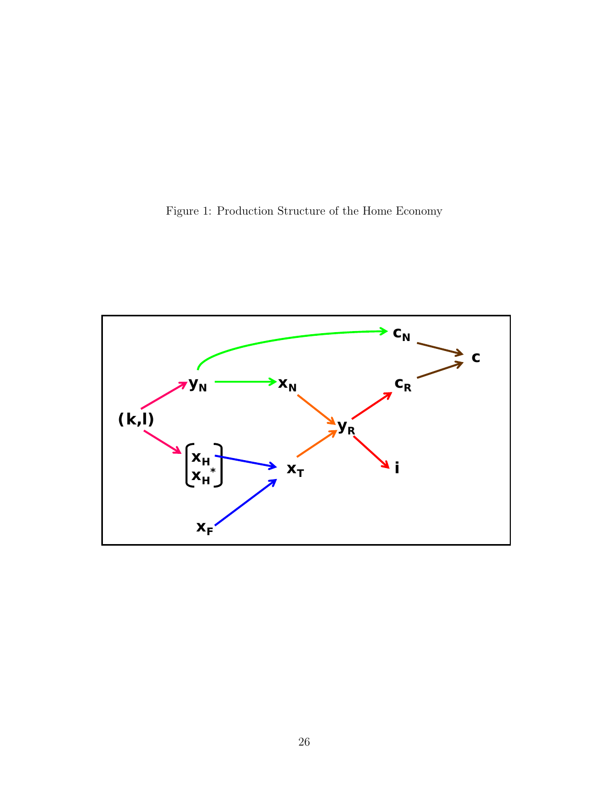Figure 1: Production Structure of the Home Economy

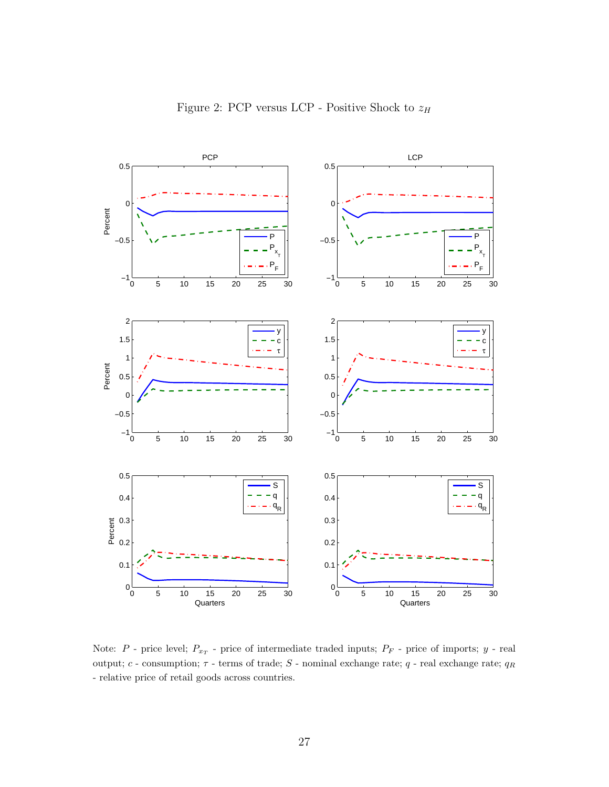

Note: P - price level;  $P_{x_T}$  - price of intermediate traded inputs;  $P_F$  - price of imports; y - real output;  $c$  - consumption;  $\tau$  - terms of trade;  $S$  - nominal exchange rate;  $q$  - real exchange rate;  $q_R$ - relative price of retail goods across countries.